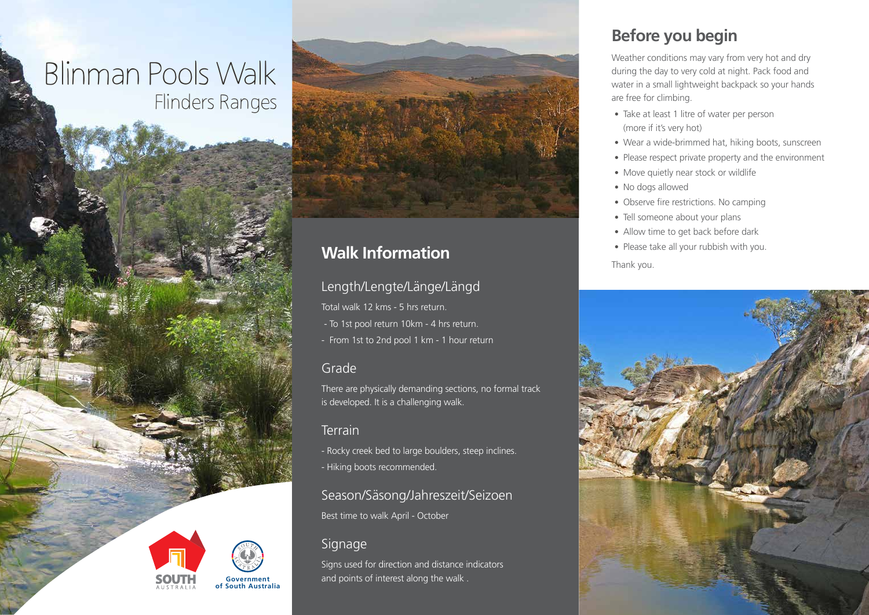# Blindin Pools *v* vanx Flinders Ranges



# **Walk Information**

### Length/Lengte/Länge/Längd

Total walk 12 kms - 5 hrs return.

- To 1st pool return 10km - 4 hrs return.

- From 1st to 2nd pool 1 km - 1 hour return

### Grade

There are physically demanding sections, no formal track is developed. It is a challenging walk.

#### **Terrain**

- Rocky creek bed to large boulders, steep inclines. - Hiking boots recommended.

Season/Säsong/Jahreszeit/Seizoen Best time to walk April - October

### **Signage**

Signs used for direction and distance indicators and points of interest along the walk .

# **Before you begin**

Weather conditions may vary from very hot and dry during the day to very cold at night. Pack food and water in a small lightweight backpack so your hands are free for climbing.

- Take at least 1 litre of water per person (more if it's very hot)
- Wear a wide-brimmed hat, hiking boots, sunscreen
- Please respect private property and the environment
- Move quietly near stock or wildlife
- No dogs allowed
- Observe fire restrictions. No camping
- Tell someone about your plans
- Allow time to get back before dark
- Please take all your rubbish with you.





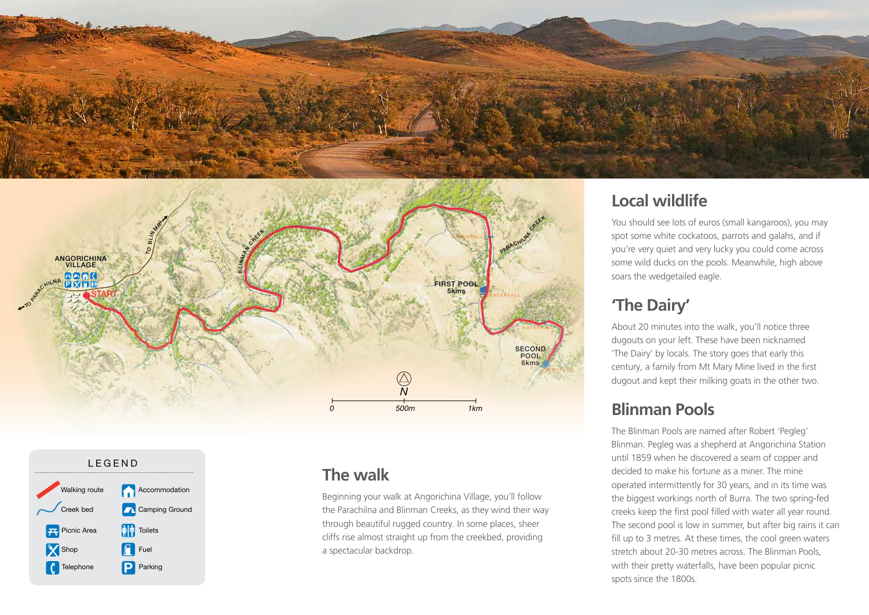





### **The walk**

*h* through beautiful rugged country. In some places, sheer<br>cliffs rise almost straight up from the smallbod, providing *0* a spectacular backdrop. Beginning your walk at Angorichina Village, you'll follow the Parachilna and Blinman Creeks, as they wind their way cliffs rise almost straight up from the creekbed, providing

# **Local wildlife**

You should see lots of euros (small kangaroos), you may spot some white cockatoos, parrots and galahs, and if you're very quiet and very lucky you could come across some wild ducks on the pools. Meanwhile, high above soars the wedgetailed eagle.

# **'The Dairy'**

About 20 minutes into the walk, you'll notice three dugouts on your left. These have been nicknamed 'The Dairy' by locals. The story goes that early this century, a family from Mt Mary Mine lived in the first dugout and kept their milking goats in the other two.

## **Blinman Pools**

The Blinman Pools are named after Robert 'Pegleg' Blinman. Pegleg was a shepherd at Angorichina Station until 1859 when he discovered a seam of copper and decided to make his fortune as a miner. The mine operated intermittently for 30 years, and in its time was the biggest workings north of Burra. The two spring-fed creeks keep the first pool filled with water all year round. The second pool is low in summer, but after big rains it can fill up to 3 metres. At these times, the cool green waters stretch about 20-30 metres across. The Blinman Pools, with their pretty waterfalls, have been popular picnic spots since the 1800s.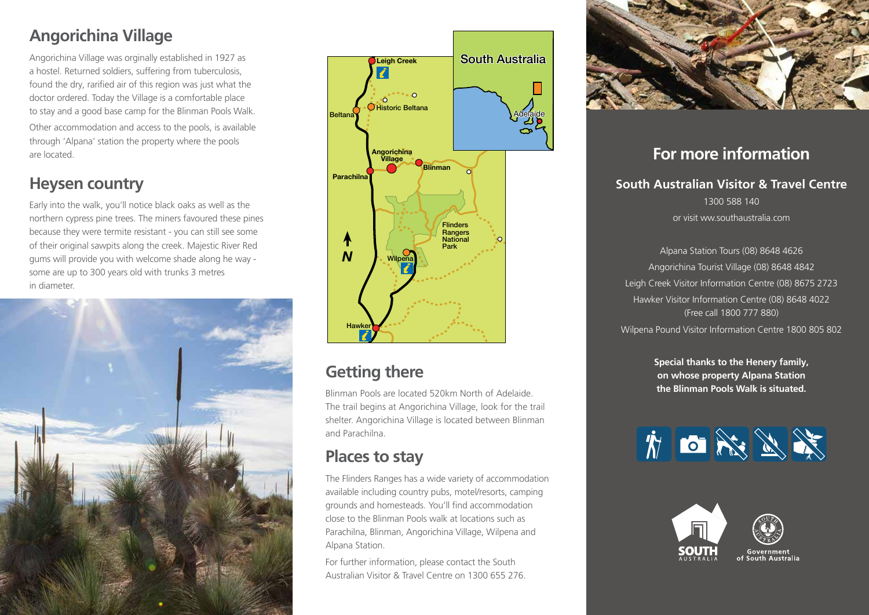# **Angorichina Village**

Angorichina Village was orginally established in 1927 as a hostel. Returned soldiers, suffering from tuberculosis, found the dry, rarified air of this region was just what the doctor ordered. Today the Village is a comfortable place to stay and a good base camp for the Blinman Pools Walk. Other accommodation and access to the pools, is available through 'Alpana' station the property where the pools are located.

# **Heysen country**

Early into the walk, you'll notice black oaks as well as the northern cypress pine trees. The miners favoured these pines because they were termite resistant - you can still see some of their original sawpits along the creek. Majestic River Red gums will provide you with welcome shade along he way some are up to 300 years old with trunks 3 metres in diameter.





# **Getting there**

Blinman Pools are located 520km North of Adelaide. The trail begins at Angorichina Village, look for the trail shelter. Angorichina Village is located between Blinman and Parachilna.

# **Places to stay**

The Flinders Ranges has a wide variety of accommodation available including country pubs, motel/resorts, camping grounds and homesteads. You'll find accommodation close to the Blinman Pools walk at locations such as Parachilna, Blinman, Angorichina Village, Wilpena and Alpana Station.

For further information, please contact the South Australian Visitor & Travel Centre on 1300 655 276.



### **For more information**

**South Australian Visitor & Travel Centre** 1300 588 140 or visit ww.southaustralia.com

Alpana Station Tours (08) 8648 4626 Angorichina Tourist Village (08) 8648 4842 Leigh Creek Visitor Information Centre (08) 8675 2723 Hawker Visitor Information Centre (08) 8648 4022 (Free call 1800 777 880) Wilpena Pound Visitor Information Centre 1800 805 802

> **Special thanks to the Henery family, on whose property Alpana Station the Blinman Pools Walk is situated.**